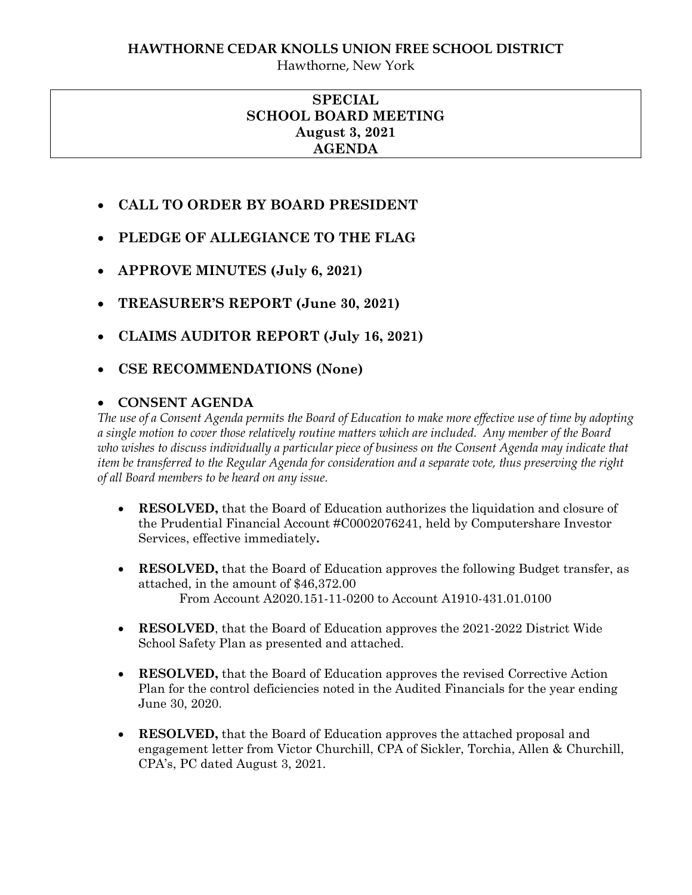# **HAWTHORNE CEDAR KNOLLS UNION FREE SCHOOL DISTRICT**

Hawthorne, New York

# **SPECIAL SCHOOL BOARD MEETING August 3, 2021 AGENDA**

- **CALL TO ORDER BY BOARD PRESIDENT**
- **PLEDGE OF ALLEGIANCE TO THE FLAG**
- **APPROVE MINUTES (July 6, 2021)**
- **TREASURER'S REPORT (June 30, 2021)**
- **CLAIMS AUDITOR REPORT (July 16, 2021)**
- **CSE RECOMMENDATIONS (None)**

# **CONSENT AGENDA**

*The use of a Consent Agenda permits the Board of Education to make more effective use of time by adopting a single motion to cover those relatively routine matters which are included. Any member of the Board who wishes to discuss individually a particular piece of business on the Consent Agenda may indicate that item be transferred to the Regular Agenda for consideration and a separate vote, thus preserving the right of all Board members to be heard on any issue.* 

- **RESOLVED,** that the Board of Education authorizes the liquidation and closure of the Prudential Financial Account #C0002076241, held by Computershare Investor Services, effective immediately**.**
- **RESOLVED,** that the Board of Education approves the following Budget transfer, as attached, in the amount of \$46,372.00 From Account A2020.151-11-0200 to Account A1910-431.01.0100
- **RESOLVED**, that the Board of Education approves the 2021-2022 District Wide School Safety Plan as presented and attached.
- **RESOLVED,** that the Board of Education approves the revised Corrective Action Plan for the control deficiencies noted in the Audited Financials for the year ending June 30, 2020.
- **RESOLVED,** that the Board of Education approves the attached proposal and engagement letter from Victor Churchill, CPA of Sickler, Torchia, Allen & Churchill, CPA's, PC dated August 3, 2021.